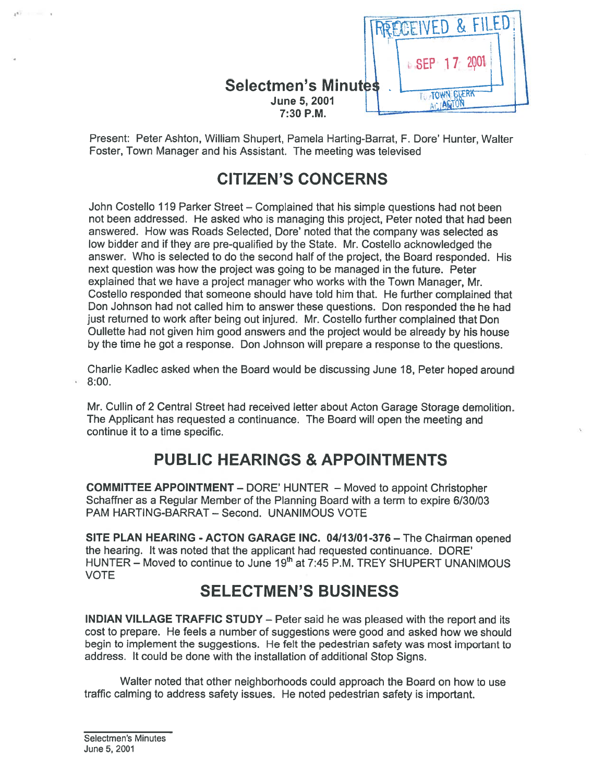

Present: Peter Ashton, William Shupert, Pamela Harting-Barrat, F. Dore' Hunter, Walter Foster, Town Manager and his Assistant. The meeting was televised

# CITIZEN'S CONCERNS

John Costello 119 Parker Street — Complained that his simple questions had not been not been addressed. He asked who is managing this project, Peter noted that had been answered. How was Roads Selected, Dore' noted that the company was selected as low bidder and if they are pre-qualified by the State. Mr. Costello acknowledged the answer. Who is selected to do the second half of the project, the Board responded. His next question was how the project was going to be managed in the future. Peter explained that we have <sup>a</sup> project manager who works with the Town Manager, Mr. Costello responded that someone should have told him that. He further complained that Don Johnson had not called him to answer these questions. Don responded the he had just returned to work after being out injured. Mr. Costello further complained that Don Oulleffe had not <sup>g</sup>iven him good answers and the project would be already by his house by the time he go<sup>t</sup> <sup>a</sup> response. Don Johnson will prepare <sup>a</sup> response to the questions.

Charlie Kadlec asked when the Board would be discussing June 18, Peter hoped around 8:00.

Mt. Cullin of 2 Central Street had received letter about Acton Garage Storage demolition. The Applicant has requested <sup>a</sup> continuance. The Board will open the meeting and continue it to <sup>a</sup> time specific.

# PUBLIC HEARINGS & APPOINTMENTS

COMMITTEE APPOINTMENT — DORE' HUNTER — Moved to appoint Christopher Schaffner as <sup>a</sup> Regular Member of the Planning Board with <sup>a</sup> term to expire 6/30/03 PAM HARTING-BARRAT — Second. UNANIMOUS VOTE

SITE PLAN HEARING - ACTON GARAGE INC. 0411 3101-376 — The Chairman opened the hearing. It was noted that the applicant had requested continuance. DORE' HUNTER  $-$  Moved to continue to June 19<sup>th</sup> at 7:45 P.M. TREY SHUPERT UNANIMOUS VOTE

## SELECTMEN'S BUSINESS

INDIAN VILLAGE TRAFFIC STUDY — Peter said he was pleased with the repor<sup>t</sup> and its cost to prepare. He feels <sup>a</sup> number of suggestions were good and asked how we should begin to implement the suggestions. He felt the pedestrian safety was most important to address. It could be done with the installation of additional Stop Signs.

Walter noted that other neighborhoods could approach the Board on how to use traffic calming to address safety issues. He noted pedestrian safety is important.

¥.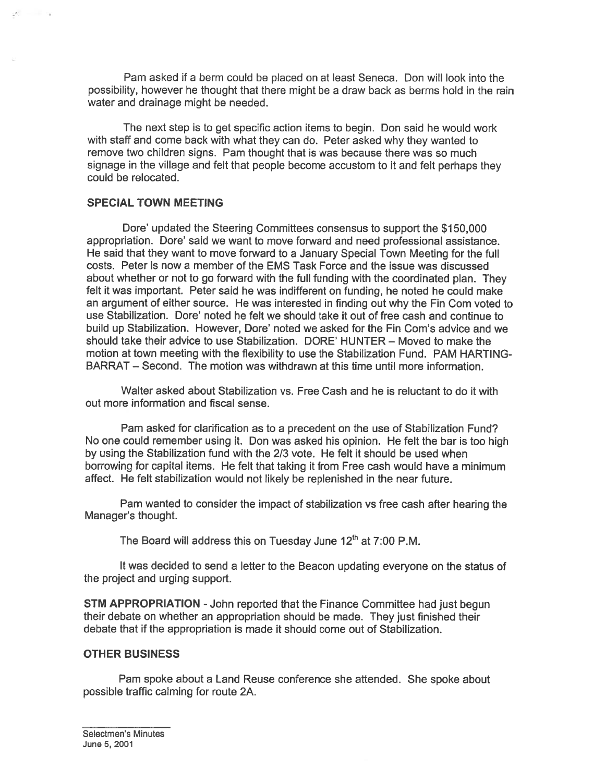Pam asked if <sup>a</sup> berm could be placed on at least Seneca. Don will look into the possibility, however he thought that there might be <sup>a</sup> draw back as berms hold in the rain water and drainage might be needed.

The next step is to ge<sup>t</sup> specific action items to begin. Don said he would work with staff and come back with what they can do. Peter asked why they wanted to remove two children signs. Pam thought that is was because there was so much signage in the village and felt that people become accustom to it and felt perhaps they could be relocated.

#### SPECIAL TOWN MEETING

Dore' updated the Steering Committees consensus to suppor<sup>t</sup> the \$150,000 appropriation. Dore' said we want to move forward and need professional assistance. He said that they want to move forward to <sup>a</sup> January Special Town Meeting for the full costs. Peter is now <sup>a</sup> member of the EMS Task Force and the issue was discussed about whether or not to go forward with the full funding with the coordinated plan. They felt it was important. Peter said he was indifferent on funding, he noted he could make an argument of either source. He was interested in finding out why the Fin Com voted to use Stabilization. Dore' noted he felt we should take it out of free cash and continue to build up Stabilization. However, Dore' noted we asked for the Fin Corn's advice and we should take their advice to use Stabilization. DORE' HUNTER — Moved to make the motion at town meeting with the flexibility to use the Stabilization Fund. PAM HARTING BARRAT — Second. The motion was withdrawn at this time until more information.

Walter asked about Stabilization vs. Free Cash and he is reluctant to do it with out more information and fiscal sense.

Pam asked for clarification as to <sup>a</sup> precedent on the use of Stabilization Fund? No one could remember using it. Don was asked his opinion. He felt the bar is too high by using the Stabilization fund with the 2/3 vote. He felt it should be used when borrowing for capital items. He felt that taking it from Free cash would have <sup>a</sup> minimum affect. He felt stabilization would not likely be replenished in the near future.

Pam wanted to consider the impact of stabilization vs free cash after hearing the Manager's thought.

The Board will address this on Tuesday June  $12<sup>th</sup>$  at 7:00 P.M.

It was decided to send <sup>a</sup> letter to the Beacon updating everyone on the status of the project and urging support.

**STM APPROPRIATION** - John reported that the Finance Committee had just begun their debate on whether an appropriation should be made. They just finished their debate that if the appropriation is made it should come out of Stabilization.

#### OTHER BUSINESS

Pam spoke about <sup>a</sup> Land Reuse conference she attended. She spoke about possible traffic calming for route 2A.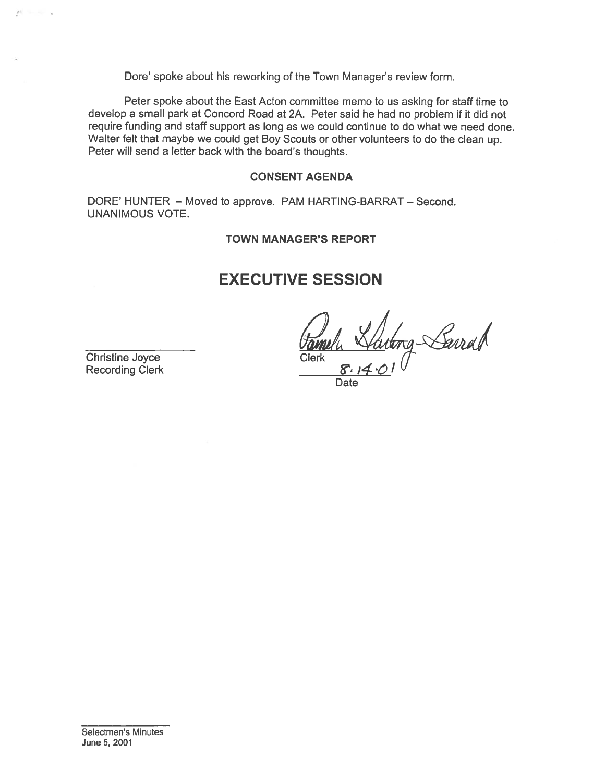Dote' spoke about his reworking of the Town Manager's review form.

Peter spoke about the East Acton committee memo to us asking for staff time to develop <sup>a</sup> small park at Concord Road at 2A. Peter said he had no problem if it did not require funding and staff suppor<sup>t</sup> as long as we could continue to do what we need done. Walter felt that maybe we could get Boy Scouts or other volunteers to do the clean up. Peter will send a letter back with the board's thoughts.

#### CONSENT AGENDA

DORE' HUNTER — Moved to approve. PAM HARTING-BARRAT — Second. UNANIMOUS VOTE.

#### TOWN MANAGER'S REPORT

## EXECUTIVE SESSION

Christine Joyce Clerk 8.14.01

Date

Christine Joyce Clerk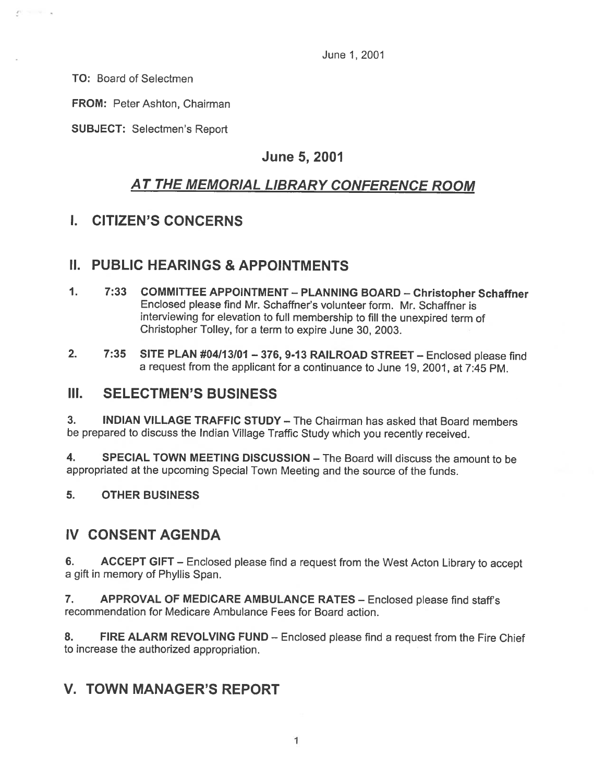June 1,2001

TO: Board of Selectmen

 $P = -1$ 

FROM: Peter Ashton, Chairman

SUBJECT: Selectmen's Report

### June 5, 2001

## AT THE MEMORIAL LIBRARY CONFERENCE ROOM

### I. CITIZEN'S CONCERNS

### II. PUBLIC HEARINGS & APPOINTMENTS

- 1. 7:33 COMMITTEE APPOINTMENT PLANNING BOARD Christopher Schaffner Enclosed please find Mr. Schaffner's volunteer form. Mr. Schaffner is interviewing for elevation to full membership to fill the unexpired term of Christopher Tolley, for <sup>a</sup> term to expire June 30, 2003.
- 2. 7:35 SITE PLAN #04113101 376, 9-13 RAILROAD STREET Enclosed <sup>p</sup>lease find <sup>a</sup> reques<sup>t</sup> from the applicant for <sup>a</sup> continuance to June 19, 2001, at 7:45 PM.

#### III. SELECTMEN'S BUSINESS

3. INDIAN VILLAGE TRAFFIC STUDY — The Chairman has asked that Board members be prepare<sup>d</sup> to discuss the Indian Village Traffic Study which you recently received.

4. SPECIAL TOWN MEETING DISCUSSION - The Board will discuss the amount to be appropriated at the upcoming Special Town Meeting and the source of the funds.

5. OTHER BUSINESS

### IV CONSENT AGENDA

6. ACCEPT GIFT – Enclosed please find a request from the West Acton Library to accept <sup>a</sup> gift in memory of Phyllis Span.

7. APPROVAL OF MEDICARE AMBULANCE RATES - Enclosed please find staff's recommendation for Medicare Ambulance Fees for Board action.

8. FIRE ALARM REVOLVING FUND - Enclosed please find a request from the Fire Chief to increase the authorized appropriation.

### V. TOWN MANAGER'S REPORT

1 1